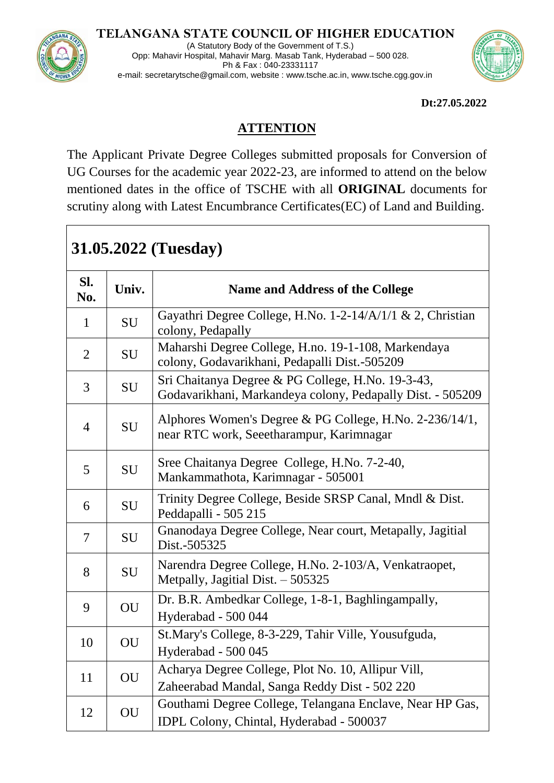## **TELANGANA STATE COUNCIL OF HIGHER EDUCATION**



(A Statutory Body of the Government of T.S.) Opp: Mahavir Hospital, Mahavir Marg. Masab Tank, Hyderabad – 500 028. Ph & Fax : 040-23331117 e-mail: secretarytsche@gmail.com, website : www.tsche.ac.in, www.tsche.cgg.gov.in



**Dt:27.05.2022**

## **ATTENTION**

The Applicant Private Degree Colleges submitted proposals for Conversion of UG Courses for the academic year 2022-23, are informed to attend on the below mentioned dates in the office of TSCHE with all **ORIGINAL** documents for scrutiny along with Latest Encumbrance Certificates(EC) of Land and Building.

## **31.05.2022 (Tuesday) Sl. No. We are Univ. Name and Address of the College**  $\begin{array}{c|c|c|c|c} \hline 1 & \text{S}1 & \text{Gayathri Degree College, H.No. 1-2-14/A/1/1 & 2. \end{array}$  Christian colony, Pedapally 2 | SU | Maharshi Degree College, H.no. 19-1-108, Markendaya colony, Godavarikhani, Pedapalli Dist.-505209  $\begin{array}{|c|c|c|c|c|c|}\n\hline\n3 & \text{SU} & \text{Sri Chaitanya Degree & \text{PG College, H.No. 19-3-43,} \\
\hline\n\end{array}$ Godavarikhani, Markandeya colony, Pedapally Dist. - 505209  $\frac{4}{100}$  SU Alphores Women's Degree & PG College, H.No. 2-236/14/1, near RTC work, Seeetharampur, Karimnagar 5 SU Sree Chaitanya Degree College, H.No. 7-2-40, Mankammathota, Karimnagar - 505001  $\begin{array}{c|c|c|c} \hline \text{S} & \text{Trinity Degree College, Besides SRSP Canal, Mndl & \text{Dist.} \end{array}$ Peddapalli - 505 215 7 SU Gnanodaya Degree College, Near court, Metapally, Jagitial Dist.-505325 8 SU Narendra Degree College, H.No. 2-103/A, Venkatraopet, Metpally, Jagitial Dist. – 505325 9 | OU | Dr. B.R. Ambedkar College, 1-8-1, Baghlingampally, Hyderabad - 500 044 10 | OU | St.Mary's College, 8-3-229, Tahir Ville, Yousufguda, Hyderabad - 500 045 11 | OU | Acharya Degree College, Plot No. 10, Allipur Vill, Zaheerabad Mandal, Sanga Reddy Dist - 502 220 12 | OU Gouthami Degree College, Telangana Enclave, Near HP Gas,

IDPL Colony, Chintal, Hyderabad - 500037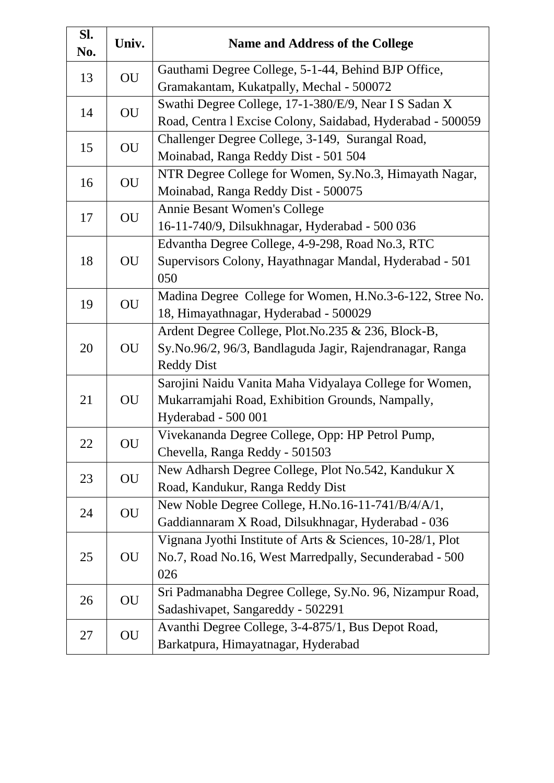| Sl.<br>No. | Univ. | <b>Name and Address of the College</b>                     |
|------------|-------|------------------------------------------------------------|
| 13         | OU    | Gauthami Degree College, 5-1-44, Behind BJP Office,        |
|            |       | Gramakantam, Kukatpally, Mechal - 500072                   |
| 14         | OU    | Swathi Degree College, 17-1-380/E/9, Near I S Sadan X      |
|            |       | Road, Centra 1 Excise Colony, Saidabad, Hyderabad - 500059 |
| 15         | OU    | Challenger Degree College, 3-149, Surangal Road,           |
|            |       | Moinabad, Ranga Reddy Dist - 501 504                       |
| 16         | OU    | NTR Degree College for Women, Sy.No.3, Himayath Nagar,     |
|            |       | Moinabad, Ranga Reddy Dist - 500075                        |
|            | OU    | Annie Besant Women's College                               |
| 17         |       | 16-11-740/9, Dilsukhnagar, Hyderabad - 500 036             |
|            |       | Edvantha Degree College, 4-9-298, Road No.3, RTC           |
| 18         | OU    | Supervisors Colony, Hayathnagar Mandal, Hyderabad - 501    |
|            |       | 050                                                        |
| 19         |       | Madina Degree College for Women, H.No.3-6-122, Stree No.   |
|            | OU    | 18, Himayathnagar, Hyderabad - 500029                      |
|            | OU    | Ardent Degree College, Plot.No.235 & 236, Block-B,         |
| 20         |       | Sy.No.96/2, 96/3, Bandlaguda Jagir, Rajendranagar, Ranga   |
|            |       | <b>Reddy Dist</b>                                          |
|            | OU    | Sarojini Naidu Vanita Maha Vidyalaya College for Women,    |
| 21         |       | Mukarramjahi Road, Exhibition Grounds, Nampally,           |
|            |       | Hyderabad - 500 001                                        |
| 22         | OU    | Vivekananda Degree College, Opp: HP Petrol Pump,           |
|            |       | Chevella, Ranga Reddy - 501503                             |
|            |       | New Adharsh Degree College, Plot No.542, Kandukur X        |
| 23         | OU    | Road, Kandukur, Ranga Reddy Dist                           |
| 24         |       | New Noble Degree College, H.No.16-11-741/B/4/A/1,          |
|            | OU    | Gaddiannaram X Road, Dilsukhnagar, Hyderabad - 036         |
|            | OU    | Vignana Jyothi Institute of Arts & Sciences, 10-28/1, Plot |
| 25         |       | No.7, Road No.16, West Marredpally, Secunderabad - 500     |
|            |       | 026                                                        |
| 26         | OU    | Sri Padmanabha Degree College, Sy.No. 96, Nizampur Road,   |
|            |       | Sadashivapet, Sangareddy - 502291                          |
| 27         | OU    | Avanthi Degree College, 3-4-875/1, Bus Depot Road,         |
|            |       | Barkatpura, Himayatnagar, Hyderabad                        |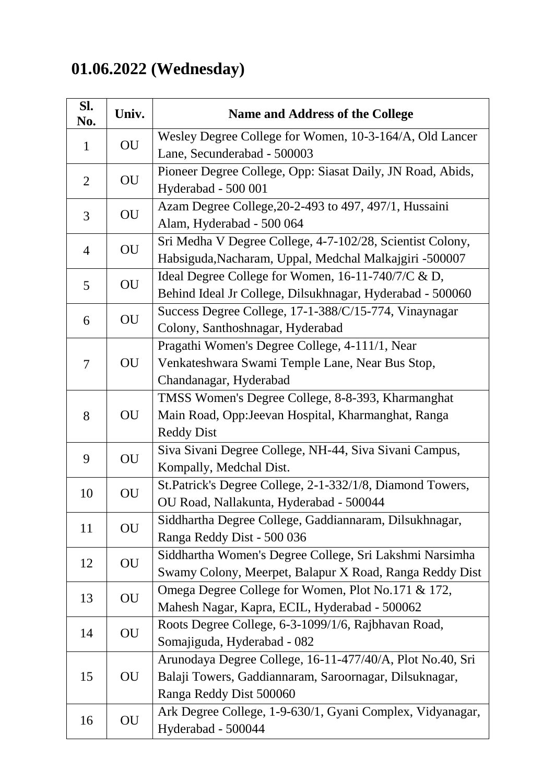## **01.06.2022 (Wednesday)**

| Sl.<br>No.     | Univ.     | <b>Name and Address of the College</b>                     |
|----------------|-----------|------------------------------------------------------------|
| $\mathbf{1}$   |           | Wesley Degree College for Women, 10-3-164/A, Old Lancer    |
|                | <b>OU</b> | Lane, Secunderabad - 500003                                |
| $\overline{2}$ |           | Pioneer Degree College, Opp: Siasat Daily, JN Road, Abids, |
|                | OU        | Hyderabad - 500 001                                        |
| 3              | <b>OU</b> | Azam Degree College, 20-2-493 to 497, 497/1, Hussaini      |
|                |           | Alam, Hyderabad - 500 064                                  |
| $\overline{4}$ | OU        | Sri Medha V Degree College, 4-7-102/28, Scientist Colony,  |
|                |           | Habsiguda, Nacharam, Uppal, Medchal Malkajgiri -500007     |
| 5              | OU        | Ideal Degree College for Women, 16-11-740/7/C & D,         |
|                |           | Behind Ideal Jr College, Dilsukhnagar, Hyderabad - 500060  |
|                | <b>OU</b> | Success Degree College, 17-1-388/C/15-774, Vinaynagar      |
| 6              |           | Colony, Santhoshnagar, Hyderabad                           |
|                |           | Pragathi Women's Degree College, 4-111/1, Near             |
| $\overline{7}$ | OU        | Venkateshwara Swami Temple Lane, Near Bus Stop,            |
|                |           | Chandanagar, Hyderabad                                     |
|                |           | TMSS Women's Degree College, 8-8-393, Kharmanghat          |
| 8              | OU        | Main Road, Opp:Jeevan Hospital, Kharmanghat, Ranga         |
|                |           | <b>Reddy Dist</b>                                          |
| 9              | OU        | Siva Sivani Degree College, NH-44, Siva Sivani Campus,     |
|                |           | Kompally, Medchal Dist.                                    |
| 10             | OU        | St.Patrick's Degree College, 2-1-332/1/8, Diamond Towers,  |
|                |           | OU Road, Nallakunta, Hyderabad - 500044                    |
| 11             | OU        | Siddhartha Degree College, Gaddiannaram, Dilsukhnagar,     |
|                |           | Ranga Reddy Dist - 500 036                                 |
| 12             | OU        | Siddhartha Women's Degree College, Sri Lakshmi Narsimha    |
|                |           | Swamy Colony, Meerpet, Balapur X Road, Ranga Reddy Dist    |
| 13             | OU        | Omega Degree College for Women, Plot No.171 & 172,         |
|                |           | Mahesh Nagar, Kapra, ECIL, Hyderabad - 500062              |
| 14             | OU        | Roots Degree College, 6-3-1099/1/6, Rajbhavan Road,        |
|                |           | Somajiguda, Hyderabad - 082                                |
| 15             | OU        | Arunodaya Degree College, 16-11-477/40/A, Plot No.40, Sri  |
|                |           | Balaji Towers, Gaddiannaram, Saroornagar, Dilsuknagar,     |
|                |           | Ranga Reddy Dist 500060                                    |
| 16             | OU        | Ark Degree College, 1-9-630/1, Gyani Complex, Vidyanagar,  |
|                |           | Hyderabad - 500044                                         |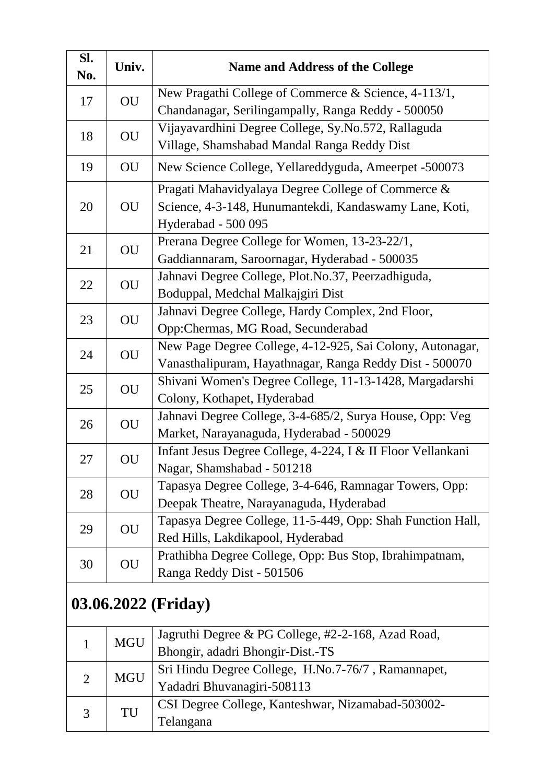| Sl.<br>No.          | Univ.      | <b>Name and Address of the College</b>                      |
|---------------------|------------|-------------------------------------------------------------|
| 17                  | OU         | New Pragathi College of Commerce & Science, 4-113/1,        |
|                     |            | Chandanagar, Serilingampally, Ranga Reddy - 500050          |
| 18                  | OU         | Vijayavardhini Degree College, Sy.No.572, Rallaguda         |
|                     |            | Village, Shamshabad Mandal Ranga Reddy Dist                 |
| 19                  | OU         | New Science College, Yellareddyguda, Ameerpet -500073       |
|                     | OU         | Pragati Mahavidyalaya Degree College of Commerce &          |
| 20                  |            | Science, 4-3-148, Hunumantekdi, Kandaswamy Lane, Koti,      |
|                     |            | Hyderabad - 500 095                                         |
| 21                  | OU         | Prerana Degree College for Women, 13-23-22/1,               |
|                     |            | Gaddiannaram, Saroornagar, Hyderabad - 500035               |
| 22                  | OU         | Jahnavi Degree College, Plot.No.37, Peerzadhiguda,          |
|                     |            | Boduppal, Medchal Malkajgiri Dist                           |
| 23                  | OU         | Jahnavi Degree College, Hardy Complex, 2nd Floor,           |
|                     |            | Opp:Chermas, MG Road, Secunderabad                          |
| 24                  | OU         | New Page Degree College, 4-12-925, Sai Colony, Autonagar,   |
|                     |            | Vanasthalipuram, Hayathnagar, Ranga Reddy Dist - 500070     |
| 25                  | OU         | Shivani Women's Degree College, 11-13-1428, Margadarshi     |
|                     |            | Colony, Kothapet, Hyderabad                                 |
| 26                  | OU         | Jahnavi Degree College, 3-4-685/2, Surya House, Opp: Veg    |
|                     |            | Market, Narayanaguda, Hyderabad - 500029                    |
| 27                  | OU         | Infant Jesus Degree College, 4-224, I & II Floor Vellankani |
|                     |            | Nagar, Shamshabad - 501218                                  |
| 28                  | OU         | Tapasya Degree College, 3-4-646, Ramnagar Towers, Opp:      |
|                     |            | Deepak Theatre, Narayanaguda, Hyderabad                     |
| 29                  | OU         | Tapasya Degree College, 11-5-449, Opp: Shah Function Hall,  |
|                     |            | Red Hills, Lakdikapool, Hyderabad                           |
| 30                  | OU         | Prathibha Degree College, Opp: Bus Stop, Ibrahimpatnam,     |
|                     |            | Ranga Reddy Dist - 501506                                   |
| 03.06.2022 (Friday) |            |                                                             |
|                     |            | Jagruthi Degree & PG College, #2-2-168, Azad Road,          |
| $\mathbf{1}$        | <b>MGU</b> | Bhongir, adadri Bhongir-Dist.-TS                            |
|                     | <b>MGU</b> | Sri Hindu Degree College, H.No.7-76/7, Ramannapet,          |
| $\overline{2}$      |            | Yadadri Bhuvanagiri-508113                                  |
|                     |            | CSI Degree College, Kanteshwar, Nizamabad-503002-           |
| 3                   | TU         | Telangana                                                   |
|                     |            |                                                             |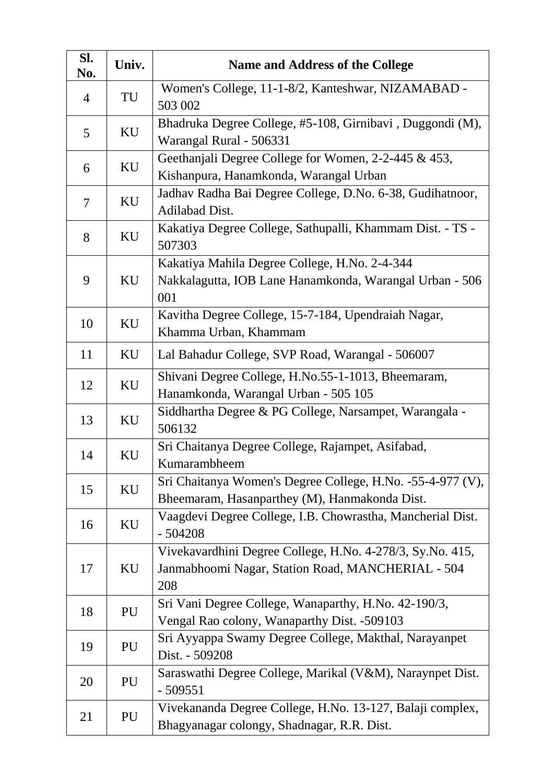| Sl.<br>No.     | Univ. | <b>Name and Address of the College</b>                                                                                |
|----------------|-------|-----------------------------------------------------------------------------------------------------------------------|
| $\overline{4}$ | TU    | Women's College, 11-1-8/2, Kanteshwar, NIZAMABAD -<br>503 002                                                         |
| 5              | KU    | Bhadruka Degree College, #5-108, Girnibavi, Duggondi (M),<br>Warangal Rural - 506331                                  |
| 6              | KU    | Geethanjali Degree College for Women, 2-2-445 & 453,<br>Kishanpura, Hanamkonda, Warangal Urban                        |
| $\overline{7}$ | KU    | Jadhav Radha Bai Degree College, D.No. 6-38, Gudihatnoor,<br>Adilabad Dist.                                           |
| 8              | KU    | Kakatiya Degree College, Sathupalli, Khammam Dist. - TS -<br>507303                                                   |
| 9              | KU    | Kakatiya Mahila Degree College, H.No. 2-4-344<br>Nakkalagutta, IOB Lane Hanamkonda, Warangal Urban - 506<br>001       |
| 10             | KU    | Kavitha Degree College, 15-7-184, Upendraiah Nagar,<br>Khamma Urban, Khammam                                          |
| 11             | KU    | Lal Bahadur College, SVP Road, Warangal - 506007                                                                      |
| 12             | KU    | Shivani Degree College, H.No.55-1-1013, Bheemaram,<br>Hanamkonda, Warangal Urban - 505 105                            |
| 13             | KU    | Siddhartha Degree & PG College, Narsampet, Warangala -<br>506132                                                      |
| 14             | KU    | Sri Chaitanya Degree College, Rajampet, Asifabad,<br>Kumarambheem                                                     |
| 15             | KU    | Sri Chaitanya Women's Degree College, H.No. -55-4-977 (V),<br>Bheemaram, Hasanparthey (M), Hanmakonda Dist.           |
| 16             | KU    | Vaagdevi Degree College, I.B. Chowrastha, Mancherial Dist.<br>$-504208$                                               |
| 17             | KU    | Vivekavardhini Degree College, H.No. 4-278/3, Sy.No. 415,<br>Janmabhoomi Nagar, Station Road, MANCHERIAL - 504<br>208 |
| 18             | PU    | Sri Vani Degree College, Wanaparthy, H.No. 42-190/3,<br>Vengal Rao colony, Wanaparthy Dist. - 509103                  |
| 19             | PU    | Sri Ayyappa Swamy Degree College, Makthal, Narayanpet<br>Dist. - 509208                                               |
| 20             | PU    | Saraswathi Degree College, Marikal (V&M), Naraynpet Dist.<br>$-509551$                                                |
| 21             | PU    | Vivekananda Degree College, H.No. 13-127, Balaji complex,<br>Bhagyanagar colongy, Shadnagar, R.R. Dist.               |